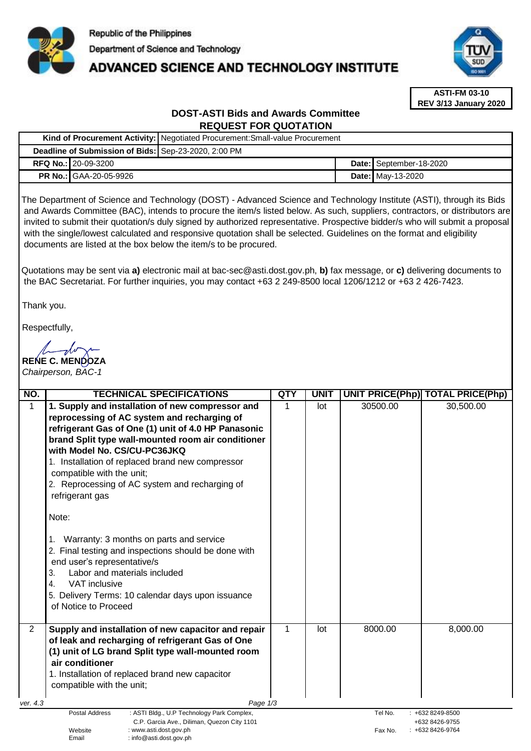

# **ADVANCED SCIENCE AND TECHNOLOGY INSTITUTE**



**ASTI-FM 03-10 REV 3/13 January 2020**

# **DOST-ASTI Bids and Awards Committee REQUEST FOR QUOTATION**

|                                                      |                            | Kind of Procurement Activity: Negotiated Procurement: Small-value Procurement |  |                          |  |  |
|------------------------------------------------------|----------------------------|-------------------------------------------------------------------------------|--|--------------------------|--|--|
| Deadline of Submission of Bids: Sep-23-2020, 2:00 PM |                            |                                                                               |  |                          |  |  |
|                                                      | <b>RFQ No.: 20-09-3200</b> |                                                                               |  | Date: September-18-2020  |  |  |
| <b>PR No.: GAA-20-05-9926</b>                        |                            |                                                                               |  | <b>Date:</b> May-13-2020 |  |  |

The Department of Science and Technology (DOST) - Advanced Science and Technology Institute (ASTI), through its Bids and Awards Committee (BAC), intends to procure the item/s listed below. As such, suppliers, contractors, or distributors are invited to submit their quotation/s duly signed by authorized representative. Prospective bidder/s who will submit a proposal with the single/lowest calculated and responsive quotation shall be selected. Guidelines on the format and eligibility documents are listed at the box below the item/s to be procured.

Quotations may be sent via **a)** [electronic mail at bac-sec@asti.dost.gov.ph,](mailto:bac-sec@asti.dost.gov.ph) **b)** fax message, or **c)** delivering documents to the BAC Secretariat. For further inquiries, you may contact +63 2 249-8500 local 1206/1212 or +63 2 426-7423.

Thank you.

Respectfully,

**RENE C. MENDOZA** 

*Chairperson, BAC-1*

| NO.                                                                   | <b>TECHNICAL SPECIFICATIONS</b>                                                                                                                                                                                                                                                 |              | <b>UNIT</b>    | <b>UNIT PRICE(Php) TOTAL PRICE(Php)</b> |                     |  |
|-----------------------------------------------------------------------|---------------------------------------------------------------------------------------------------------------------------------------------------------------------------------------------------------------------------------------------------------------------------------|--------------|----------------|-----------------------------------------|---------------------|--|
| 1                                                                     | 1. Supply and installation of new compressor and                                                                                                                                                                                                                                |              | lot            | 30500.00                                | 30,500.00           |  |
|                                                                       | reprocessing of AC system and recharging of                                                                                                                                                                                                                                     |              |                |                                         |                     |  |
|                                                                       | refrigerant Gas of One (1) unit of 4.0 HP Panasonic                                                                                                                                                                                                                             |              |                |                                         |                     |  |
|                                                                       | brand Split type wall-mounted room air conditioner                                                                                                                                                                                                                              |              |                |                                         |                     |  |
|                                                                       | with Model No. CS/CU-PC36JKQ                                                                                                                                                                                                                                                    |              |                |                                         |                     |  |
|                                                                       | 1. Installation of replaced brand new compressor                                                                                                                                                                                                                                |              |                |                                         |                     |  |
|                                                                       | compatible with the unit;                                                                                                                                                                                                                                                       |              |                |                                         |                     |  |
|                                                                       | 2. Reprocessing of AC system and recharging of                                                                                                                                                                                                                                  |              |                |                                         |                     |  |
|                                                                       | refrigerant gas                                                                                                                                                                                                                                                                 |              |                |                                         |                     |  |
|                                                                       | Note:                                                                                                                                                                                                                                                                           |              |                |                                         |                     |  |
|                                                                       | Warranty: 3 months on parts and service<br>2. Final testing and inspections should be done with<br>end user's representative/s<br>Labor and materials included<br>3.<br><b>VAT</b> inclusive<br>4.<br>5. Delivery Terms: 10 calendar days upon issuance<br>of Notice to Proceed |              |                |                                         |                     |  |
| $\overline{2}$                                                        | Supply and installation of new capacitor and repair<br>of leak and recharging of refrigerant Gas of One                                                                                                                                                                         | $\mathbf{1}$ | lot            | 8000.00                                 | 8,000.00            |  |
|                                                                       | (1) unit of LG brand Split type wall-mounted room                                                                                                                                                                                                                               |              |                |                                         |                     |  |
|                                                                       | air conditioner<br>1. Installation of replaced brand new capacitor                                                                                                                                                                                                              |              |                |                                         |                     |  |
|                                                                       |                                                                                                                                                                                                                                                                                 |              |                |                                         |                     |  |
|                                                                       | compatible with the unit;                                                                                                                                                                                                                                                       |              |                |                                         |                     |  |
|                                                                       |                                                                                                                                                                                                                                                                                 |              |                |                                         |                     |  |
| ver. 4.3                                                              | Page 1/3<br><b>Postal Address</b><br>: ASTI Bldg., U.P Technology Park Complex,                                                                                                                                                                                                 |              |                | Tel No.                                 | $: +6328249 - 8500$ |  |
| C.P. Garcia Ave., Diliman, Quezon City 1101                           |                                                                                                                                                                                                                                                                                 |              | +632 8426-9755 |                                         |                     |  |
| : www.asti.dost.gov.ph<br>Website<br>Email<br>: info@asti.dost.gov.ph |                                                                                                                                                                                                                                                                                 |              |                | Fax No.                                 | $: +6328426 - 9764$ |  |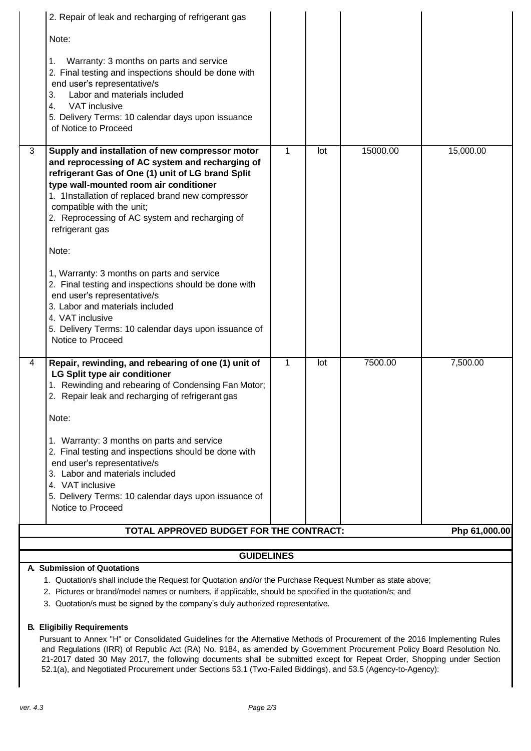|   | 2. Repair of leak and recharging of refrigerant gas                                                                                                                                                                                                                                                                                                                                                                                                                                                                                                                                                                                        |              |     |          |               |  |  |
|---|--------------------------------------------------------------------------------------------------------------------------------------------------------------------------------------------------------------------------------------------------------------------------------------------------------------------------------------------------------------------------------------------------------------------------------------------------------------------------------------------------------------------------------------------------------------------------------------------------------------------------------------------|--------------|-----|----------|---------------|--|--|
|   | Note:                                                                                                                                                                                                                                                                                                                                                                                                                                                                                                                                                                                                                                      |              |     |          |               |  |  |
|   | Warranty: 3 months on parts and service<br>1.<br>2. Final testing and inspections should be done with<br>end user's representative/s<br>Labor and materials included<br>3.<br>VAT inclusive<br>4.<br>5. Delivery Terms: 10 calendar days upon issuance<br>of Notice to Proceed                                                                                                                                                                                                                                                                                                                                                             |              |     |          |               |  |  |
| 3 | Supply and installation of new compressor motor<br>and reprocessing of AC system and recharging of<br>refrigerant Gas of One (1) unit of LG brand Split<br>type wall-mounted room air conditioner<br>1. 1Installation of replaced brand new compressor<br>compatible with the unit;<br>2. Reprocessing of AC system and recharging of<br>refrigerant gas<br>Note:<br>1, Warranty: 3 months on parts and service<br>2. Final testing and inspections should be done with<br>end user's representative/s<br>3. Labor and materials included<br>4. VAT inclusive<br>5. Delivery Terms: 10 calendar days upon issuance of<br>Notice to Proceed | $\mathbf{1}$ | lot | 15000.00 | 15,000.00     |  |  |
| 4 | Repair, rewinding, and rebearing of one (1) unit of<br>LG Split type air conditioner<br>1. Rewinding and rebearing of Condensing Fan Motor;<br>2. Repair leak and recharging of refrigerant gas<br>Note:<br>1. Warranty: 3 months on parts and service<br>2. Final testing and inspections should be done with<br>end user's representative/s<br>3. Labor and materials included<br>4. VAT inclusive<br>5. Delivery Terms: 10 calendar days upon issuance of<br>Notice to Proceed                                                                                                                                                          | 1            | lot | 7500.00  | 7,500.00      |  |  |
|   | TOTAL APPROVED BUDGET FOR THE CONTRACT:                                                                                                                                                                                                                                                                                                                                                                                                                                                                                                                                                                                                    |              |     |          | Php 61,000.00 |  |  |
|   | <b>GUIDELINES</b>                                                                                                                                                                                                                                                                                                                                                                                                                                                                                                                                                                                                                          |              |     |          |               |  |  |
|   |                                                                                                                                                                                                                                                                                                                                                                                                                                                                                                                                                                                                                                            |              |     |          |               |  |  |

#### **A. Submission of Quotations**

1. Quotation/s shall include the Request for Quotation and/or the Purchase Request Number as state above;

- 2. Pictures or brand/model names or numbers, if applicable, should be specified in the quotation/s; and
- 3. Quotation/s must be signed by the company's duly authorized representative.

#### **B. Eligibiliy Requirements**

Pursuant to Annex "H" or Consolidated Guidelines for the Alternative Methods of Procurement of the 2016 Implementing Rules and Regulations (IRR) of Republic Act (RA) No. 9184, as amended by Government Procurement Policy Board Resolution No. 21-2017 dated 30 May 2017, the following documents shall be submitted except for Repeat Order, Shopping under Section 52.1(a), and Negotiated Procurement under Sections 53.1 (Two-Failed Biddings), and 53.5 (Agency-to-Agency):